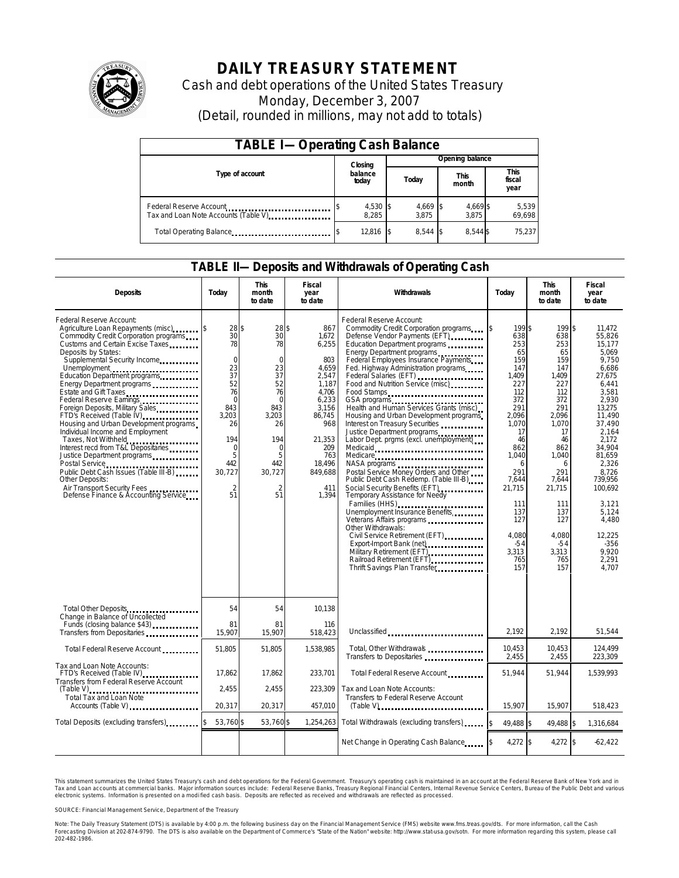

# **DAILY TREASURY STATEMENT**

Cash and debt operations of the United States Treasury Monday, December 3, 2007 (Detail, rounded in millions, may not add to totals)

| <b>TABLE I-Operating Cash Balance</b>                            |                   |  |                   |                      |                        |  |  |  |  |
|------------------------------------------------------------------|-------------------|--|-------------------|----------------------|------------------------|--|--|--|--|
|                                                                  | Closing           |  | Opening balance   |                      |                        |  |  |  |  |
| Type of account                                                  | balance<br>today  |  | Today             | <b>This</b><br>month | This<br>fiscal<br>year |  |  |  |  |
| Federal Reserve Account<br>Tax and Loan Note Accounts (Table V). | 4,530 \$<br>8.285 |  | 4,669 \$<br>3.875 | 4,669 \$<br>3.875    | 5,539<br>69,698        |  |  |  |  |
| Total Operating Balance                                          | 12,816            |  | 8.544 \$          | 8.544 \$             | 75.237                 |  |  |  |  |

### **TABLE II—Deposits and Withdrawals of Operating Cash**

| <b>Deposits</b>                                                                                                                                                                                                                                                                                                                                                                                                                                                                                                                                                                                                                                                                                                                           | Today                                                                                                                                                              | <b>This</b><br>month<br>to date                                                                                                                          | <b>Fiscal</b><br>year<br>to date                                                                                                                                 | Withdrawals                                                                                                                                                                                                                                                                                                                                                                                                                                                                                                                                                                                                                                                                                                                                                                                                                                                                                                                              | Todav                                                                                                                                                                                                                    | <b>This</b><br>month<br>to date                                                                                                                                                                                          | Fiscal<br>year<br>to date                                                                                                                                                                                                                                                        |  |
|-------------------------------------------------------------------------------------------------------------------------------------------------------------------------------------------------------------------------------------------------------------------------------------------------------------------------------------------------------------------------------------------------------------------------------------------------------------------------------------------------------------------------------------------------------------------------------------------------------------------------------------------------------------------------------------------------------------------------------------------|--------------------------------------------------------------------------------------------------------------------------------------------------------------------|----------------------------------------------------------------------------------------------------------------------------------------------------------|------------------------------------------------------------------------------------------------------------------------------------------------------------------|------------------------------------------------------------------------------------------------------------------------------------------------------------------------------------------------------------------------------------------------------------------------------------------------------------------------------------------------------------------------------------------------------------------------------------------------------------------------------------------------------------------------------------------------------------------------------------------------------------------------------------------------------------------------------------------------------------------------------------------------------------------------------------------------------------------------------------------------------------------------------------------------------------------------------------------|--------------------------------------------------------------------------------------------------------------------------------------------------------------------------------------------------------------------------|--------------------------------------------------------------------------------------------------------------------------------------------------------------------------------------------------------------------------|----------------------------------------------------------------------------------------------------------------------------------------------------------------------------------------------------------------------------------------------------------------------------------|--|
| Federal Reserve Account:<br>Agriculture Loan Repayments (misc).<br>Commodity Credit Corporation programs<br>Customs and Certain Excise Taxes<br>Deposits by States:<br>Supplemental Security Income<br>Unemployment<br>Education Department programs<br>Energy Department programs<br>Estate and Gift Taxes<br>Federal Reserve Eamings [11] [11] [11] [11]<br>Foreign Deposits, Military Sales<br>FTD's Received (Table IV)<br>Housing and Urban Development programs<br>Individual Income and Employment<br>Taxes, Not Withheld<br>Interest recd from T&L Depositaries<br>Justice Department programs<br>Public Debt Cash Issues (Table III B)<br>Other Deposits:<br>Air Transport Security Fees<br>Defense Finance & Accounting Service | 28S<br>30<br>78<br>$\mathbf 0$<br>23<br>37<br>52<br>76<br>$\overline{0}$<br>843<br>3,203<br>26<br>194<br>$\mathbf 0$<br>5<br>442<br>30,727<br>$\overline{2}$<br>51 | 28 \$<br>30<br>78<br>$\Omega$<br>23<br>37<br>52<br>76<br>$\Omega$<br>843<br>3,203<br>26<br>194<br>$\Omega$<br>5<br>442<br>30,727<br>$\overline{2}$<br>51 | 867<br>1,672<br>6,255<br>803<br>4,659<br>2,547<br>1,187<br>4,706<br>6,233<br>3,156<br>86,745<br>968<br>21,353<br>209<br>763<br>18,496<br>849,688<br>411<br>1,394 | Federal Reserve Account:<br>Commodity Credit Corporation programs<br>Defense Vendor Payments (EFT)<br>Education Department programs<br>Energy Department programs<br>Federal Employees Insurance Payments<br>Fed. Highway Administration programs<br>Federal Salaries (EFT)<br>Food and Nutrition Service (misc)<br>Food Stamps<br>GSA programs<br>Health and Human Services Grants (misc)<br>Housing and Urban Development programs<br>Interest on Treasury Securities<br>Justice Department programs<br>Labor Dept. prgms (excl. unemployment)<br>Medicaid<br>Medicare<br>Postal Service Money Orders and Other<br>Public Debt Cash Redemp. (Table III-B)<br>Social Security Benefits (EFT)<br><br>Temporary Assistance for Needy<br>Families (HHS)<br>Unemployment Insurance Benefits<br>Veterans Affairs programs<br>Other Withdrawals:<br>Civil Service Retirement (EFT)<br>Military Retirement (EFT),<br>Railroad Retirement (EFT) | 199 \$<br>638<br>253<br>65<br>159<br>147<br>1.409<br>227<br>112<br>372<br>291<br>2.096<br>1,070<br>17<br>46<br>862<br>1,040<br>6<br>291<br>7,644<br>21,715<br>111<br>137<br>127<br>4,080<br>$-54$<br>3,313<br>765<br>157 | 199 \$<br>638<br>253<br>65<br>159<br>147<br>1.409<br>227<br>112<br>372<br>291<br>2,096<br>1,070<br>17<br>46<br>862<br>1,040<br>6<br>291<br>7,644<br>21,715<br>111<br>137<br>127<br>4,080<br>$-54$<br>3,313<br>765<br>157 | 11.472<br>55.826<br>15.177<br>5.069<br>9,750<br>6.686<br>27.675<br>6.441<br>3.581<br>2,930<br>13,275<br>11,490<br>37,490<br>2.164<br>2.172<br>34.904<br>81,659<br>2,326<br>8,726<br>739,956<br>100,692<br>3.121<br>5.124<br>4,480<br>12,225<br>$-356$<br>9.920<br>2.291<br>4.707 |  |
| Total Other Deposits                                                                                                                                                                                                                                                                                                                                                                                                                                                                                                                                                                                                                                                                                                                      | 54                                                                                                                                                                 | 54                                                                                                                                                       | 10,138                                                                                                                                                           |                                                                                                                                                                                                                                                                                                                                                                                                                                                                                                                                                                                                                                                                                                                                                                                                                                                                                                                                          |                                                                                                                                                                                                                          |                                                                                                                                                                                                                          |                                                                                                                                                                                                                                                                                  |  |
| Change in Balance of Uncollected<br>Funds (closing balance \$43)<br>Transfers from Depositaries                                                                                                                                                                                                                                                                                                                                                                                                                                                                                                                                                                                                                                           | 81<br>15.907                                                                                                                                                       | 81<br>15,907                                                                                                                                             | 116<br>518,423                                                                                                                                                   | Unclassified                                                                                                                                                                                                                                                                                                                                                                                                                                                                                                                                                                                                                                                                                                                                                                                                                                                                                                                             | 2.192                                                                                                                                                                                                                    | 2.192                                                                                                                                                                                                                    | 51.544                                                                                                                                                                                                                                                                           |  |
| Total Federal Reserve Account                                                                                                                                                                                                                                                                                                                                                                                                                                                                                                                                                                                                                                                                                                             | 51.805                                                                                                                                                             | 51.805                                                                                                                                                   | 1.538.985                                                                                                                                                        | Total, Other Withdrawals<br>Transfers to Depositaries                                                                                                                                                                                                                                                                                                                                                                                                                                                                                                                                                                                                                                                                                                                                                                                                                                                                                    | 10,453<br>2,455                                                                                                                                                                                                          | 10,453<br>2,455                                                                                                                                                                                                          | 124,499<br>223,309                                                                                                                                                                                                                                                               |  |
| Tax and Loan Note Accounts:<br>FTD's Received (Table IV)<br>Transfers from Federal Reserve Account                                                                                                                                                                                                                                                                                                                                                                                                                                                                                                                                                                                                                                        | 17,862<br>2,455                                                                                                                                                    | 17,862<br>2,455                                                                                                                                          | 233,701<br>223,309                                                                                                                                               | Total Federal Reserve Account<br>Tax and Loan Note Accounts:                                                                                                                                                                                                                                                                                                                                                                                                                                                                                                                                                                                                                                                                                                                                                                                                                                                                             | 51.944                                                                                                                                                                                                                   | 51.944                                                                                                                                                                                                                   | 1,539,993                                                                                                                                                                                                                                                                        |  |
| $(Table V)$<br>Total Tax and Loan Note<br>Accounts (Table V)                                                                                                                                                                                                                                                                                                                                                                                                                                                                                                                                                                                                                                                                              | 20,317                                                                                                                                                             | 20,317                                                                                                                                                   | 457,010                                                                                                                                                          | Transfers to Federal Reserve Account<br>$(Table V)$                                                                                                                                                                                                                                                                                                                                                                                                                                                                                                                                                                                                                                                                                                                                                                                                                                                                                      | 15.907                                                                                                                                                                                                                   | 15,907                                                                                                                                                                                                                   | 518,423                                                                                                                                                                                                                                                                          |  |
| Total Deposits (excluding transfers)                                                                                                                                                                                                                                                                                                                                                                                                                                                                                                                                                                                                                                                                                                      | 53.760 \$                                                                                                                                                          | 53.760 \$                                                                                                                                                | 1.254.263                                                                                                                                                        | Total Withdrawals (excluding transfers)                                                                                                                                                                                                                                                                                                                                                                                                                                                                                                                                                                                                                                                                                                                                                                                                                                                                                                  | 49.488 \$<br>l\$                                                                                                                                                                                                         | 49,488 \$                                                                                                                                                                                                                | 1,316,684                                                                                                                                                                                                                                                                        |  |
|                                                                                                                                                                                                                                                                                                                                                                                                                                                                                                                                                                                                                                                                                                                                           |                                                                                                                                                                    |                                                                                                                                                          |                                                                                                                                                                  | Net Change in Operating Cash Balance                                                                                                                                                                                                                                                                                                                                                                                                                                                                                                                                                                                                                                                                                                                                                                                                                                                                                                     | 4,272 \$                                                                                                                                                                                                                 | 4,272 \$                                                                                                                                                                                                                 | $-62,422$                                                                                                                                                                                                                                                                        |  |

This statement summarizes the United States Treasury's cash and debt operations for the Federal Government. Treasury's operating cash is maintained in an account at the Federal Reserve Bank of New York and in Tax and Loan accounts at commercial banks. Major information sources include: Federal Reserve Banks, Treasury Regional Financial Centers, Internal Revenue Service Centers, Bureau of the Public Debt and various<br>electronic s

SOURCE: Financial Management Service, Department of the Treasury

Note: The Daily Treasury Statement (DTS) is available by 4:00 p.m. the following business day on the Financial Management Service (FMS) website www.fms.treas.gov/dts.<br>Forecasting Division at 202-874-9790. The DTS is also a 'S) is available by 4:00 p.m. the following business day on the Financial Management Service (FMS) website www.fms.treas.gov/dts. For more information, call the Cash<br>The DTS is also available on the Department of Commerce'